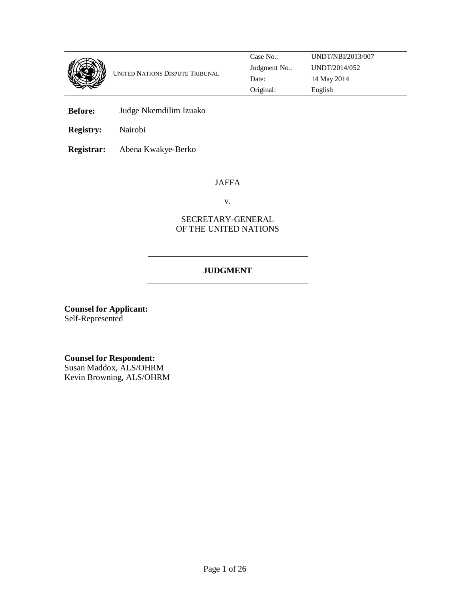

**Before:** Judge Nkemdilim Izuako

**Registry:** Nairobi

**Registrar:** Abena Kwakye-Berko

# JAFFA

v.

# SECRETARY-GENERAL OF THE UNITED NATIONS

# **JUDGMENT**

**Counsel for Applicant:**  Self-Represented

**Counsel for Respondent:**  Susan Maddox, ALS/OHRM Kevin Browning, ALS/OHRM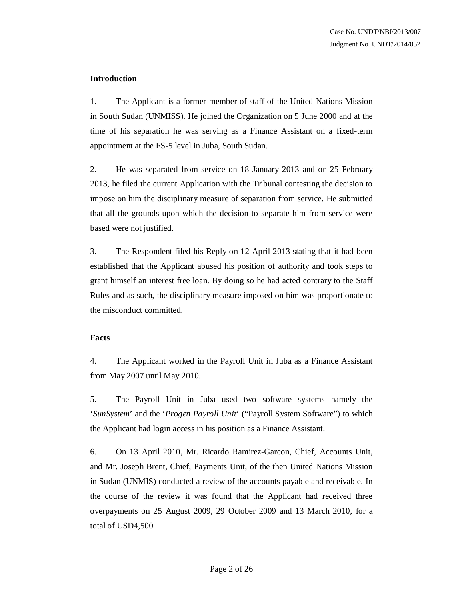## **Introduction**

1. The Applicant is a former member of staff of the United Nations Mission in South Sudan (UNMISS). He joined the Organization on 5 June 2000 and at the time of his separation he was serving as a Finance Assistant on a fixed-term appointment at the FS-5 level in Juba, South Sudan.

2. He was separated from service on 18 January 2013 and on 25 February 2013, he filed the current Application with the Tribunal contesting the decision to impose on him the disciplinary measure of separation from service. He submitted that all the grounds upon which the decision to separate him from service were based were not justified.

3. The Respondent filed his Reply on 12 April 2013 stating that it had been established that the Applicant abused his position of authority and took steps to grant himself an interest free loan. By doing so he had acted contrary to the Staff Rules and as such, the disciplinary measure imposed on him was proportionate to the misconduct committed.

#### **Facts**

4. The Applicant worked in the Payroll Unit in Juba as a Finance Assistant from May 2007 until May 2010.

5. The Payroll Unit in Juba used two software systems namely the '*SunSystem*' and the '*Progen Payroll Unit*' ("Payroll System Software") to which the Applicant had login access in his position as a Finance Assistant.

6. On 13 April 2010, Mr. Ricardo Ramirez-Garcon, Chief, Accounts Unit, and Mr. Joseph Brent, Chief, Payments Unit, of the then United Nations Mission in Sudan (UNMIS) conducted a review of the accounts payable and receivable. In the course of the review it was found that the Applicant had received three overpayments on 25 August 2009, 29 October 2009 and 13 March 2010, for a total of USD4,500.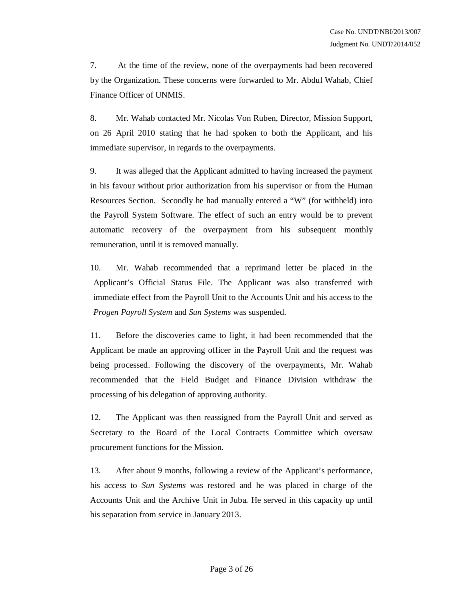7. At the time of the review, none of the overpayments had been recovered by the Organization. These concerns were forwarded to Mr. Abdul Wahab, Chief Finance Officer of UNMIS.

8. Mr. Wahab contacted Mr. Nicolas Von Ruben, Director, Mission Support, on 26 April 2010 stating that he had spoken to both the Applicant, and his immediate supervisor, in regards to the overpayments.

9. It was alleged that the Applicant admitted to having increased the payment in his favour without prior authorization from his supervisor or from the Human Resources Section. Secondly he had manually entered a "W" (for withheld) into the Payroll System Software. The effect of such an entry would be to prevent automatic recovery of the overpayment from his subsequent monthly remuneration, until it is removed manually.

10. Mr. Wahab recommended that a reprimand letter be placed in the Applicant's Official Status File. The Applicant was also transferred with immediate effect from the Payroll Unit to the Accounts Unit and his access to the *Progen Payroll System* and *Sun Systems* was suspended.

11. Before the discoveries came to light, it had been recommended that the Applicant be made an approving officer in the Payroll Unit and the request was being processed. Following the discovery of the overpayments, Mr. Wahab recommended that the Field Budget and Finance Division withdraw the processing of his delegation of approving authority.

12. The Applicant was then reassigned from the Payroll Unit and served as Secretary to the Board of the Local Contracts Committee which oversaw procurement functions for the Mission.

13. After about 9 months, following a review of the Applicant's performance, his access to *Sun Systems* was restored and he was placed in charge of the Accounts Unit and the Archive Unit in Juba. He served in this capacity up until his separation from service in January 2013.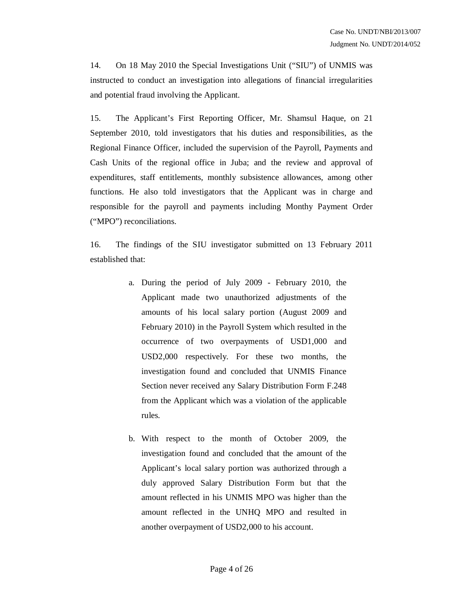14. On 18 May 2010 the Special Investigations Unit ("SIU") of UNMIS was instructed to conduct an investigation into allegations of financial irregularities and potential fraud involving the Applicant.

15. The Applicant's First Reporting Officer, Mr. Shamsul Haque, on 21 September 2010, told investigators that his duties and responsibilities, as the Regional Finance Officer, included the supervision of the Payroll, Payments and Cash Units of the regional office in Juba; and the review and approval of expenditures, staff entitlements, monthly subsistence allowances, among other functions. He also told investigators that the Applicant was in charge and responsible for the payroll and payments including Monthy Payment Order ("MPO") reconciliations.

16. The findings of the SIU investigator submitted on 13 February 2011 established that:

- a. During the period of July 2009 February 2010, the Applicant made two unauthorized adjustments of the amounts of his local salary portion (August 2009 and February 2010) in the Payroll System which resulted in the occurrence of two overpayments of USD1,000 and USD2,000 respectively. For these two months, the investigation found and concluded that UNMIS Finance Section never received any Salary Distribution Form F.248 from the Applicant which was a violation of the applicable rules.
- b. With respect to the month of October 2009, the investigation found and concluded that the amount of the Applicant's local salary portion was authorized through a duly approved Salary Distribution Form but that the amount reflected in his UNMIS MPO was higher than the amount reflected in the UNHQ MPO and resulted in another overpayment of USD2,000 to his account.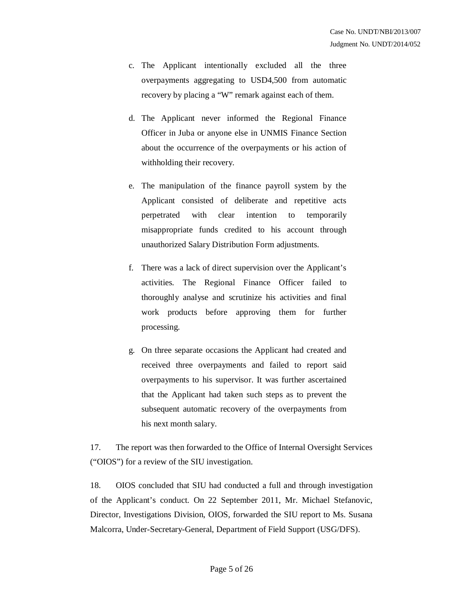- c. The Applicant intentionally excluded all the three overpayments aggregating to USD4,500 from automatic recovery by placing a "W" remark against each of them.
- d. The Applicant never informed the Regional Finance Officer in Juba or anyone else in UNMIS Finance Section about the occurrence of the overpayments or his action of withholding their recovery.
- e. The manipulation of the finance payroll system by the Applicant consisted of deliberate and repetitive acts perpetrated with clear intention to temporarily misappropriate funds credited to his account through unauthorized Salary Distribution Form adjustments.
- f. There was a lack of direct supervision over the Applicant's activities. The Regional Finance Officer failed to thoroughly analyse and scrutinize his activities and final work products before approving them for further processing.
- g. On three separate occasions the Applicant had created and received three overpayments and failed to report said overpayments to his supervisor. It was further ascertained that the Applicant had taken such steps as to prevent the subsequent automatic recovery of the overpayments from his next month salary.

17. The report was then forwarded to the Office of Internal Oversight Services ("OIOS") for a review of the SIU investigation.

18. OIOS concluded that SIU had conducted a full and through investigation of the Applicant's conduct. On 22 September 2011, Mr. Michael Stefanovic, Director, Investigations Division, OIOS, forwarded the SIU report to Ms. Susana Malcorra, Under-Secretary-General, Department of Field Support (USG/DFS).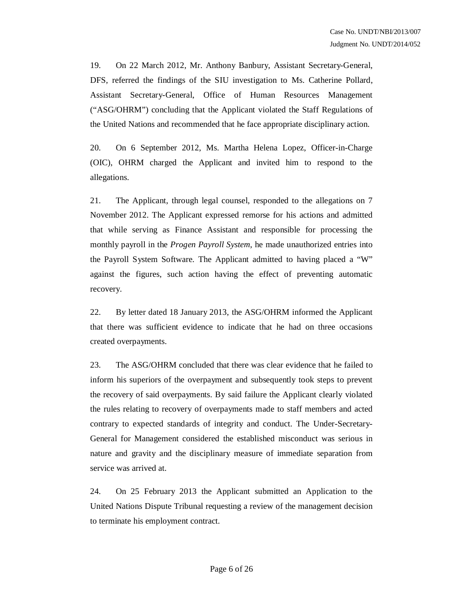19. On 22 March 2012, Mr. Anthony Banbury, Assistant Secretary-General, DFS, referred the findings of the SIU investigation to Ms. Catherine Pollard, Assistant Secretary-General, Office of Human Resources Management ("ASG/OHRM") concluding that the Applicant violated the Staff Regulations of the United Nations and recommended that he face appropriate disciplinary action.

20. On 6 September 2012, Ms. Martha Helena Lopez, Officer-in-Charge (OIC), OHRM charged the Applicant and invited him to respond to the allegations.

21. The Applicant, through legal counsel, responded to the allegations on 7 November 2012. The Applicant expressed remorse for his actions and admitted that while serving as Finance Assistant and responsible for processing the monthly payroll in the *Progen Payroll System*, he made unauthorized entries into the Payroll System Software. The Applicant admitted to having placed a "W" against the figures, such action having the effect of preventing automatic recovery.

22. By letter dated 18 January 2013, the ASG/OHRM informed the Applicant that there was sufficient evidence to indicate that he had on three occasions created overpayments.

23. The ASG/OHRM concluded that there was clear evidence that he failed to inform his superiors of the overpayment and subsequently took steps to prevent the recovery of said overpayments. By said failure the Applicant clearly violated the rules relating to recovery of overpayments made to staff members and acted contrary to expected standards of integrity and conduct. The Under-Secretary-General for Management considered the established misconduct was serious in nature and gravity and the disciplinary measure of immediate separation from service was arrived at.

24. On 25 February 2013 the Applicant submitted an Application to the United Nations Dispute Tribunal requesting a review of the management decision to terminate his employment contract.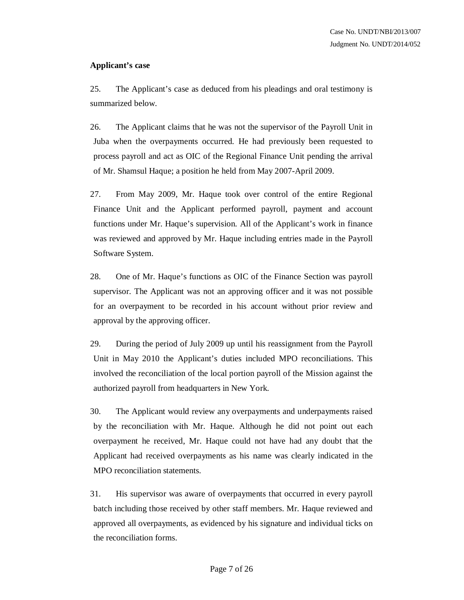## **Applicant's case**

25. The Applicant's case as deduced from his pleadings and oral testimony is summarized below.

26. The Applicant claims that he was not the supervisor of the Payroll Unit in Juba when the overpayments occurred. He had previously been requested to process payroll and act as OIC of the Regional Finance Unit pending the arrival of Mr. Shamsul Haque; a position he held from May 2007-April 2009.

27. From May 2009, Mr. Haque took over control of the entire Regional Finance Unit and the Applicant performed payroll, payment and account functions under Mr. Haque's supervision. All of the Applicant's work in finance was reviewed and approved by Mr. Haque including entries made in the Payroll Software System.

28. One of Mr. Haque's functions as OIC of the Finance Section was payroll supervisor. The Applicant was not an approving officer and it was not possible for an overpayment to be recorded in his account without prior review and approval by the approving officer.

29. During the period of July 2009 up until his reassignment from the Payroll Unit in May 2010 the Applicant's duties included MPO reconciliations. This involved the reconciliation of the local portion payroll of the Mission against the authorized payroll from headquarters in New York.

30. The Applicant would review any overpayments and underpayments raised by the reconciliation with Mr. Haque. Although he did not point out each overpayment he received, Mr. Haque could not have had any doubt that the Applicant had received overpayments as his name was clearly indicated in the MPO reconciliation statements.

31. His supervisor was aware of overpayments that occurred in every payroll batch including those received by other staff members. Mr. Haque reviewed and approved all overpayments, as evidenced by his signature and individual ticks on the reconciliation forms.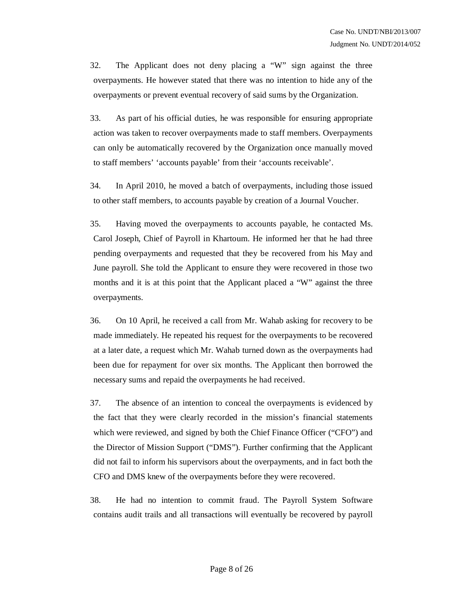32. The Applicant does not deny placing a "W" sign against the three overpayments. He however stated that there was no intention to hide any of the overpayments or prevent eventual recovery of said sums by the Organization.

33. As part of his official duties, he was responsible for ensuring appropriate action was taken to recover overpayments made to staff members. Overpayments can only be automatically recovered by the Organization once manually moved to staff members' 'accounts payable' from their 'accounts receivable'.

34. In April 2010, he moved a batch of overpayments, including those issued to other staff members, to accounts payable by creation of a Journal Voucher.

35. Having moved the overpayments to accounts payable, he contacted Ms. Carol Joseph, Chief of Payroll in Khartoum. He informed her that he had three pending overpayments and requested that they be recovered from his May and June payroll. She told the Applicant to ensure they were recovered in those two months and it is at this point that the Applicant placed a "W" against the three overpayments.

36. On 10 April, he received a call from Mr. Wahab asking for recovery to be made immediately. He repeated his request for the overpayments to be recovered at a later date, a request which Mr. Wahab turned down as the overpayments had been due for repayment for over six months. The Applicant then borrowed the necessary sums and repaid the overpayments he had received.

37. The absence of an intention to conceal the overpayments is evidenced by the fact that they were clearly recorded in the mission's financial statements which were reviewed, and signed by both the Chief Finance Officer ("CFO") and the Director of Mission Support ("DMS"). Further confirming that the Applicant did not fail to inform his supervisors about the overpayments, and in fact both the CFO and DMS knew of the overpayments before they were recovered.

38. He had no intention to commit fraud. The Payroll System Software contains audit trails and all transactions will eventually be recovered by payroll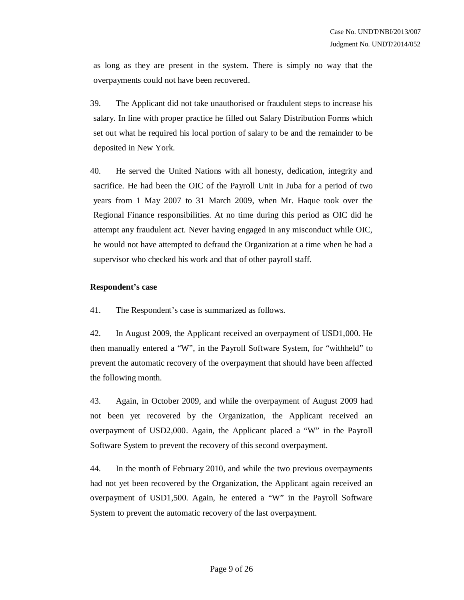as long as they are present in the system. There is simply no way that the overpayments could not have been recovered.

39. The Applicant did not take unauthorised or fraudulent steps to increase his salary. In line with proper practice he filled out Salary Distribution Forms which set out what he required his local portion of salary to be and the remainder to be deposited in New York.

40. He served the United Nations with all honesty, dedication, integrity and sacrifice. He had been the OIC of the Payroll Unit in Juba for a period of two years from 1 May 2007 to 31 March 2009, when Mr. Haque took over the Regional Finance responsibilities. At no time during this period as OIC did he attempt any fraudulent act. Never having engaged in any misconduct while OIC, he would not have attempted to defraud the Organization at a time when he had a supervisor who checked his work and that of other payroll staff.

#### **Respondent's case**

41. The Respondent's case is summarized as follows.

42. In August 2009, the Applicant received an overpayment of USD1,000. He then manually entered a "W", in the Payroll Software System, for "withheld" to prevent the automatic recovery of the overpayment that should have been affected the following month.

43. Again, in October 2009, and while the overpayment of August 2009 had not been yet recovered by the Organization, the Applicant received an overpayment of USD2,000. Again, the Applicant placed a "W" in the Payroll Software System to prevent the recovery of this second overpayment.

44. In the month of February 2010, and while the two previous overpayments had not yet been recovered by the Organization, the Applicant again received an overpayment of USD1,500. Again, he entered a "W" in the Payroll Software System to prevent the automatic recovery of the last overpayment.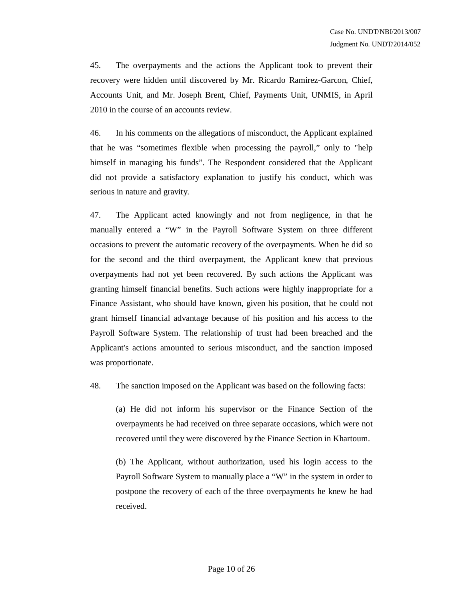45. The overpayments and the actions the Applicant took to prevent their recovery were hidden until discovered by Mr. Ricardo Ramirez-Garcon, Chief, Accounts Unit, and Mr. Joseph Brent, Chief, Payments Unit, UNMIS, in April 2010 in the course of an accounts review.

46. In his comments on the allegations of misconduct, the Applicant explained that he was "sometimes flexible when processing the payroll," only to "help himself in managing his funds". The Respondent considered that the Applicant did not provide a satisfactory explanation to justify his conduct, which was serious in nature and gravity.

47. The Applicant acted knowingly and not from negligence, in that he manually entered a "W" in the Payroll Software System on three different occasions to prevent the automatic recovery of the overpayments. When he did so for the second and the third overpayment, the Applicant knew that previous overpayments had not yet been recovered. By such actions the Applicant was granting himself financial benefits. Such actions were highly inappropriate for a Finance Assistant, who should have known, given his position, that he could not grant himself financial advantage because of his position and his access to the Payroll Software System. The relationship of trust had been breached and the Applicant's actions amounted to serious misconduct, and the sanction imposed was proportionate.

48. The sanction imposed on the Applicant was based on the following facts:

(a) He did not inform his supervisor or the Finance Section of the overpayments he had received on three separate occasions, which were not recovered until they were discovered by the Finance Section in Khartoum.

(b) The Applicant, without authorization, used his login access to the Payroll Software System to manually place a "W" in the system in order to postpone the recovery of each of the three overpayments he knew he had received.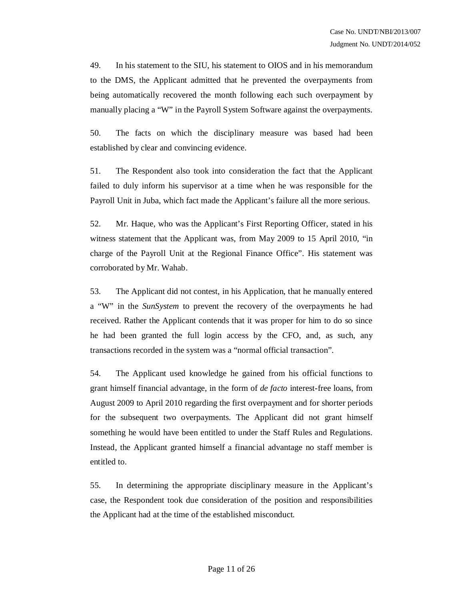49. In his statement to the SIU, his statement to OIOS and in his memorandum to the DMS, the Applicant admitted that he prevented the overpayments from being automatically recovered the month following each such overpayment by manually placing a "W" in the Payroll System Software against the overpayments.

50. The facts on which the disciplinary measure was based had been established by clear and convincing evidence.

51. The Respondent also took into consideration the fact that the Applicant failed to duly inform his supervisor at a time when he was responsible for the Payroll Unit in Juba, which fact made the Applicant's failure all the more serious.

52. Mr. Haque, who was the Applicant's First Reporting Officer, stated in his witness statement that the Applicant was, from May 2009 to 15 April 2010, "in charge of the Payroll Unit at the Regional Finance Office". His statement was corroborated by Mr. Wahab.

53. The Applicant did not contest, in his Application, that he manually entered a "W" in the *SunSystem* to prevent the recovery of the overpayments he had received. Rather the Applicant contends that it was proper for him to do so since he had been granted the full login access by the CFO, and, as such, any transactions recorded in the system was a "normal official transaction".

54. The Applicant used knowledge he gained from his official functions to grant himself financial advantage, in the form of *de facto* interest-free loans, from August 2009 to April 2010 regarding the first overpayment and for shorter periods for the subsequent two overpayments. The Applicant did not grant himself something he would have been entitled to under the Staff Rules and Regulations. Instead, the Applicant granted himself a financial advantage no staff member is entitled to.

55. In determining the appropriate disciplinary measure in the Applicant's case, the Respondent took due consideration of the position and responsibilities the Applicant had at the time of the established misconduct.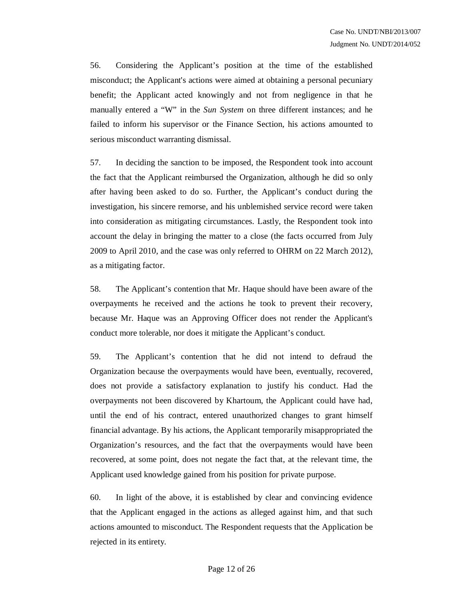56. Considering the Applicant's position at the time of the established misconduct; the Applicant's actions were aimed at obtaining a personal pecuniary benefit; the Applicant acted knowingly and not from negligence in that he manually entered a "W" in the *Sun System* on three different instances; and he failed to inform his supervisor or the Finance Section, his actions amounted to serious misconduct warranting dismissal.

57. In deciding the sanction to be imposed, the Respondent took into account the fact that the Applicant reimbursed the Organization, although he did so only after having been asked to do so. Further, the Applicant's conduct during the investigation, his sincere remorse, and his unblemished service record were taken into consideration as mitigating circumstances. Lastly, the Respondent took into account the delay in bringing the matter to a close (the facts occurred from July 2009 to April 2010, and the case was only referred to OHRM on 22 March 2012), as a mitigating factor.

58. The Applicant's contention that Mr. Haque should have been aware of the overpayments he received and the actions he took to prevent their recovery, because Mr. Haque was an Approving Officer does not render the Applicant's conduct more tolerable, nor does it mitigate the Applicant's conduct.

59. The Applicant's contention that he did not intend to defraud the Organization because the overpayments would have been, eventually, recovered, does not provide a satisfactory explanation to justify his conduct. Had the overpayments not been discovered by Khartoum, the Applicant could have had, until the end of his contract, entered unauthorized changes to grant himself financial advantage. By his actions, the Applicant temporarily misappropriated the Organization's resources, and the fact that the overpayments would have been recovered, at some point, does not negate the fact that, at the relevant time, the Applicant used knowledge gained from his position for private purpose.

60. In light of the above, it is established by clear and convincing evidence that the Applicant engaged in the actions as alleged against him, and that such actions amounted to misconduct. The Respondent requests that the Application be rejected in its entirety.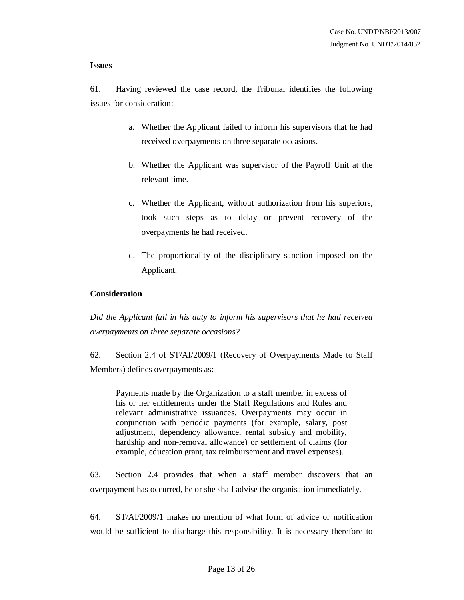#### **Issues**

61. Having reviewed the case record, the Tribunal identifies the following issues for consideration:

- a. Whether the Applicant failed to inform his supervisors that he had received overpayments on three separate occasions.
- b. Whether the Applicant was supervisor of the Payroll Unit at the relevant time.
- c. Whether the Applicant, without authorization from his superiors, took such steps as to delay or prevent recovery of the overpayments he had received.
- d. The proportionality of the disciplinary sanction imposed on the Applicant.

#### **Consideration**

*Did the Applicant fail in his duty to inform his supervisors that he had received overpayments on three separate occasions?*

62. Section 2.4 of ST/AI/2009/1 (Recovery of Overpayments Made to Staff Members) defines overpayments as:

Payments made by the Organization to a staff member in excess of his or her entitlements under the Staff Regulations and Rules and relevant administrative issuances. Overpayments may occur in conjunction with periodic payments (for example, salary, post adjustment, dependency allowance, rental subsidy and mobility, hardship and non-removal allowance) or settlement of claims (for example, education grant, tax reimbursement and travel expenses).

63. Section 2.4 provides that when a staff member discovers that an overpayment has occurred, he or she shall advise the organisation immediately.

64. ST/AI/2009/1 makes no mention of what form of advice or notification would be sufficient to discharge this responsibility. It is necessary therefore to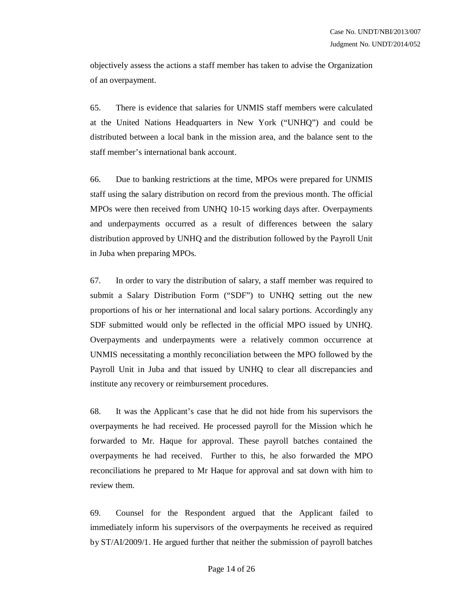objectively assess the actions a staff member has taken to advise the Organization of an overpayment.

65. There is evidence that salaries for UNMIS staff members were calculated at the United Nations Headquarters in New York ("UNHQ") and could be distributed between a local bank in the mission area, and the balance sent to the staff member's international bank account.

66. Due to banking restrictions at the time, MPOs were prepared for UNMIS staff using the salary distribution on record from the previous month. The official MPOs were then received from UNHQ 10-15 working days after. Overpayments and underpayments occurred as a result of differences between the salary distribution approved by UNHQ and the distribution followed by the Payroll Unit in Juba when preparing MPOs.

67. In order to vary the distribution of salary, a staff member was required to submit a Salary Distribution Form ("SDF") to UNHQ setting out the new proportions of his or her international and local salary portions. Accordingly any SDF submitted would only be reflected in the official MPO issued by UNHQ. Overpayments and underpayments were a relatively common occurrence at UNMIS necessitating a monthly reconciliation between the MPO followed by the Payroll Unit in Juba and that issued by UNHQ to clear all discrepancies and institute any recovery or reimbursement procedures.

68. It was the Applicant's case that he did not hide from his supervisors the overpayments he had received. He processed payroll for the Mission which he forwarded to Mr. Haque for approval. These payroll batches contained the overpayments he had received. Further to this, he also forwarded the MPO reconciliations he prepared to Mr Haque for approval and sat down with him to review them.

69. Counsel for the Respondent argued that the Applicant failed to immediately inform his supervisors of the overpayments he received as required by ST/AI/2009/1. He argued further that neither the submission of payroll batches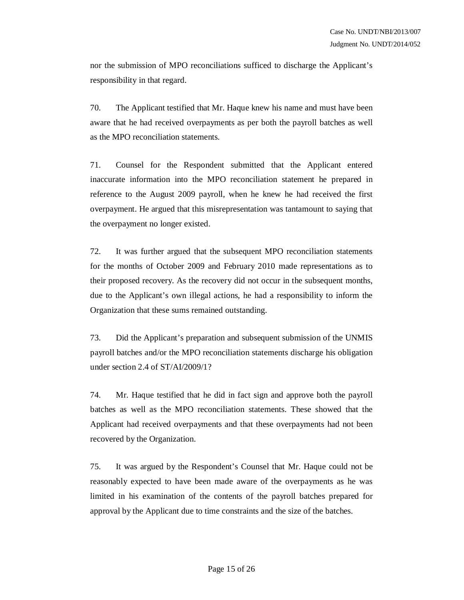nor the submission of MPO reconciliations sufficed to discharge the Applicant's responsibility in that regard.

70. The Applicant testified that Mr. Haque knew his name and must have been aware that he had received overpayments as per both the payroll batches as well as the MPO reconciliation statements.

71. Counsel for the Respondent submitted that the Applicant entered inaccurate information into the MPO reconciliation statement he prepared in reference to the August 2009 payroll, when he knew he had received the first overpayment. He argued that this misrepresentation was tantamount to saying that the overpayment no longer existed.

72. It was further argued that the subsequent MPO reconciliation statements for the months of October 2009 and February 2010 made representations as to their proposed recovery. As the recovery did not occur in the subsequent months, due to the Applicant's own illegal actions, he had a responsibility to inform the Organization that these sums remained outstanding.

73. Did the Applicant's preparation and subsequent submission of the UNMIS payroll batches and/or the MPO reconciliation statements discharge his obligation under section 2.4 of ST/AI/2009/1?

74. Mr. Haque testified that he did in fact sign and approve both the payroll batches as well as the MPO reconciliation statements. These showed that the Applicant had received overpayments and that these overpayments had not been recovered by the Organization.

75. It was argued by the Respondent's Counsel that Mr. Haque could not be reasonably expected to have been made aware of the overpayments as he was limited in his examination of the contents of the payroll batches prepared for approval by the Applicant due to time constraints and the size of the batches.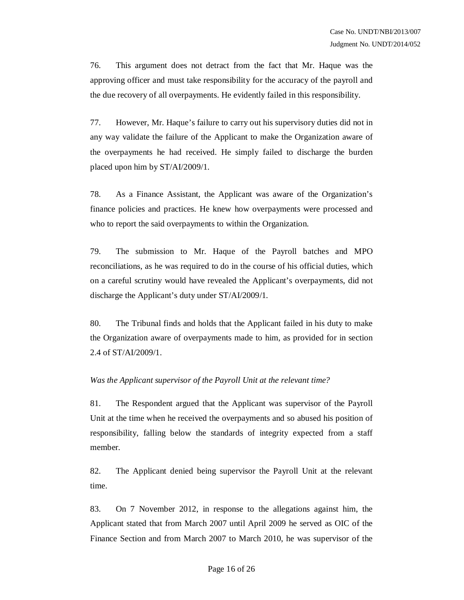76. This argument does not detract from the fact that Mr. Haque was the approving officer and must take responsibility for the accuracy of the payroll and the due recovery of all overpayments. He evidently failed in this responsibility.

77. However, Mr. Haque's failure to carry out his supervisory duties did not in any way validate the failure of the Applicant to make the Organization aware of the overpayments he had received. He simply failed to discharge the burden placed upon him by ST/AI/2009/1.

78. As a Finance Assistant, the Applicant was aware of the Organization's finance policies and practices. He knew how overpayments were processed and who to report the said overpayments to within the Organization.

79. The submission to Mr. Haque of the Payroll batches and MPO reconciliations, as he was required to do in the course of his official duties, which on a careful scrutiny would have revealed the Applicant's overpayments, did not discharge the Applicant's duty under ST/AI/2009/1.

80. The Tribunal finds and holds that the Applicant failed in his duty to make the Organization aware of overpayments made to him, as provided for in section 2.4 of ST/AI/2009/1.

#### *Was the Applicant supervisor of the Payroll Unit at the relevant time?*

81. The Respondent argued that the Applicant was supervisor of the Payroll Unit at the time when he received the overpayments and so abused his position of responsibility, falling below the standards of integrity expected from a staff member.

82. The Applicant denied being supervisor the Payroll Unit at the relevant time.

83. On 7 November 2012, in response to the allegations against him, the Applicant stated that from March 2007 until April 2009 he served as OIC of the Finance Section and from March 2007 to March 2010, he was supervisor of the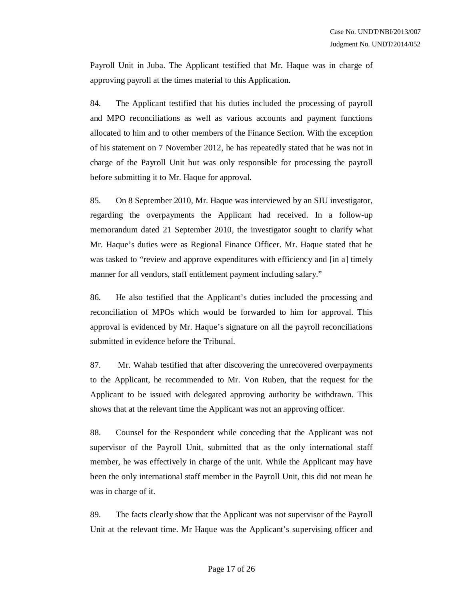Payroll Unit in Juba. The Applicant testified that Mr. Haque was in charge of approving payroll at the times material to this Application.

84. The Applicant testified that his duties included the processing of payroll and MPO reconciliations as well as various accounts and payment functions allocated to him and to other members of the Finance Section. With the exception of his statement on 7 November 2012, he has repeatedly stated that he was not in charge of the Payroll Unit but was only responsible for processing the payroll before submitting it to Mr. Haque for approval.

85. On 8 September 2010, Mr. Haque was interviewed by an SIU investigator, regarding the overpayments the Applicant had received. In a follow-up memorandum dated 21 September 2010, the investigator sought to clarify what Mr. Haque's duties were as Regional Finance Officer. Mr. Haque stated that he was tasked to "review and approve expenditures with efficiency and [in a] timely manner for all vendors, staff entitlement payment including salary."

86. He also testified that the Applicant's duties included the processing and reconciliation of MPOs which would be forwarded to him for approval. This approval is evidenced by Mr. Haque's signature on all the payroll reconciliations submitted in evidence before the Tribunal.

87. Mr. Wahab testified that after discovering the unrecovered overpayments to the Applicant, he recommended to Mr. Von Ruben, that the request for the Applicant to be issued with delegated approving authority be withdrawn. This shows that at the relevant time the Applicant was not an approving officer.

88. Counsel for the Respondent while conceding that the Applicant was not supervisor of the Payroll Unit, submitted that as the only international staff member, he was effectively in charge of the unit. While the Applicant may have been the only international staff member in the Payroll Unit, this did not mean he was in charge of it.

89. The facts clearly show that the Applicant was not supervisor of the Payroll Unit at the relevant time. Mr Haque was the Applicant's supervising officer and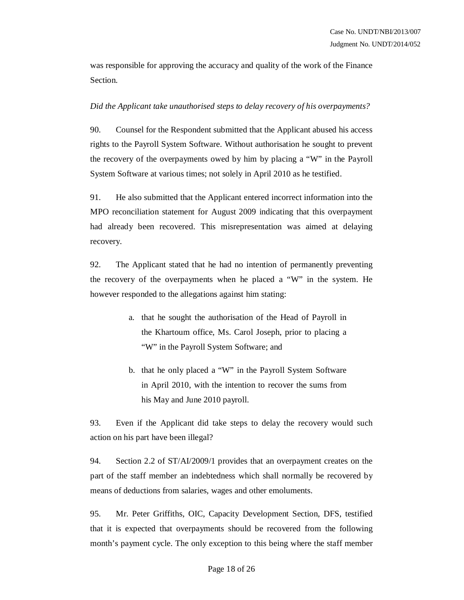was responsible for approving the accuracy and quality of the work of the Finance Section.

# *Did the Applicant take unauthorised steps to delay recovery of his overpayments?*

90. Counsel for the Respondent submitted that the Applicant abused his access rights to the Payroll System Software. Without authorisation he sought to prevent the recovery of the overpayments owed by him by placing a "W" in the Payroll System Software at various times; not solely in April 2010 as he testified.

91. He also submitted that the Applicant entered incorrect information into the MPO reconciliation statement for August 2009 indicating that this overpayment had already been recovered. This misrepresentation was aimed at delaying recovery.

92. The Applicant stated that he had no intention of permanently preventing the recovery of the overpayments when he placed a "W" in the system. He however responded to the allegations against him stating:

- a. that he sought the authorisation of the Head of Payroll in the Khartoum office, Ms. Carol Joseph, prior to placing a "W" in the Payroll System Software; and
- b. that he only placed a "W" in the Payroll System Software in April 2010, with the intention to recover the sums from his May and June 2010 payroll.

93. Even if the Applicant did take steps to delay the recovery would such action on his part have been illegal?

94. Section 2.2 of ST/AI/2009/1 provides that an overpayment creates on the part of the staff member an indebtedness which shall normally be recovered by means of deductions from salaries, wages and other emoluments.

95. Mr. Peter Griffiths, OIC, Capacity Development Section, DFS, testified that it is expected that overpayments should be recovered from the following month's payment cycle. The only exception to this being where the staff member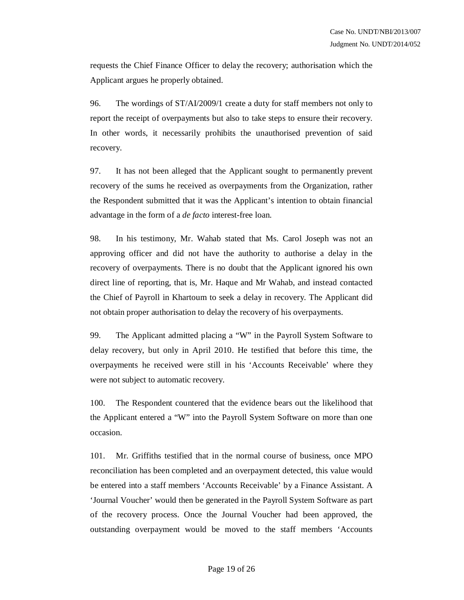requests the Chief Finance Officer to delay the recovery; authorisation which the Applicant argues he properly obtained.

96. The wordings of ST/AI/2009/1 create a duty for staff members not only to report the receipt of overpayments but also to take steps to ensure their recovery. In other words, it necessarily prohibits the unauthorised prevention of said recovery.

97. It has not been alleged that the Applicant sought to permanently prevent recovery of the sums he received as overpayments from the Organization, rather the Respondent submitted that it was the Applicant's intention to obtain financial advantage in the form of a *de facto* interest-free loan.

98. In his testimony, Mr. Wahab stated that Ms. Carol Joseph was not an approving officer and did not have the authority to authorise a delay in the recovery of overpayments. There is no doubt that the Applicant ignored his own direct line of reporting, that is, Mr. Haque and Mr Wahab, and instead contacted the Chief of Payroll in Khartoum to seek a delay in recovery. The Applicant did not obtain proper authorisation to delay the recovery of his overpayments.

99. The Applicant admitted placing a "W" in the Payroll System Software to delay recovery, but only in April 2010. He testified that before this time, the overpayments he received were still in his 'Accounts Receivable' where they were not subject to automatic recovery.

100. The Respondent countered that the evidence bears out the likelihood that the Applicant entered a "W" into the Payroll System Software on more than one occasion.

101. Mr. Griffiths testified that in the normal course of business, once MPO reconciliation has been completed and an overpayment detected, this value would be entered into a staff members 'Accounts Receivable' by a Finance Assistant. A 'Journal Voucher' would then be generated in the Payroll System Software as part of the recovery process. Once the Journal Voucher had been approved, the outstanding overpayment would be moved to the staff members 'Accounts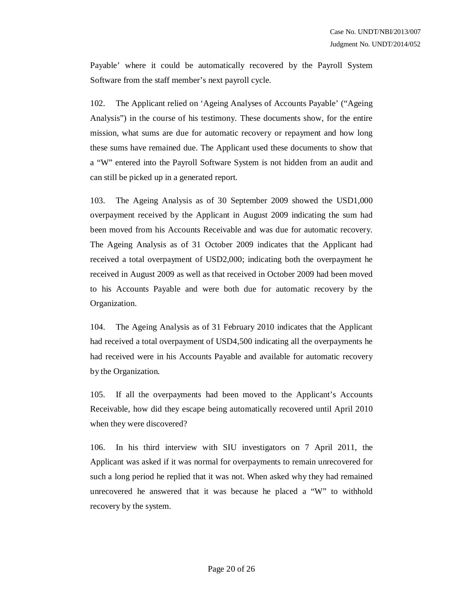Payable' where it could be automatically recovered by the Payroll System Software from the staff member's next payroll cycle.

102. The Applicant relied on 'Ageing Analyses of Accounts Payable' ("Ageing Analysis") in the course of his testimony. These documents show, for the entire mission, what sums are due for automatic recovery or repayment and how long these sums have remained due. The Applicant used these documents to show that a "W" entered into the Payroll Software System is not hidden from an audit and can still be picked up in a generated report.

103. The Ageing Analysis as of 30 September 2009 showed the USD1,000 overpayment received by the Applicant in August 2009 indicating the sum had been moved from his Accounts Receivable and was due for automatic recovery. The Ageing Analysis as of 31 October 2009 indicates that the Applicant had received a total overpayment of USD2,000; indicating both the overpayment he received in August 2009 as well as that received in October 2009 had been moved to his Accounts Payable and were both due for automatic recovery by the Organization.

104. The Ageing Analysis as of 31 February 2010 indicates that the Applicant had received a total overpayment of USD4,500 indicating all the overpayments he had received were in his Accounts Payable and available for automatic recovery by the Organization.

105. If all the overpayments had been moved to the Applicant's Accounts Receivable, how did they escape being automatically recovered until April 2010 when they were discovered?

106. In his third interview with SIU investigators on 7 April 2011, the Applicant was asked if it was normal for overpayments to remain unrecovered for such a long period he replied that it was not. When asked why they had remained unrecovered he answered that it was because he placed a "W" to withhold recovery by the system.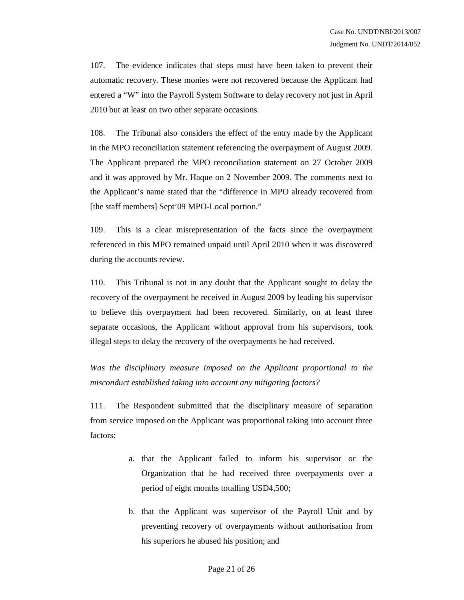107. The evidence indicates that steps must have been taken to prevent their automatic recovery. These monies were not recovered because the Applicant had entered a "W" into the Payroll System Software to delay recovery not just in April 2010 but at least on two other separate occasions.

108. The Tribunal also considers the effect of the entry made by the Applicant in the MPO reconciliation statement referencing the overpayment of August 2009. The Applicant prepared the MPO reconciliation statement on 27 October 2009 and it was approved by Mr. Haque on 2 November 2009. The comments next to the Applicant's name stated that the "difference in MPO already recovered from [the staff members] Sept'09 MPO-Local portion."

109. This is a clear misrepresentation of the facts since the overpayment referenced in this MPO remained unpaid until April 2010 when it was discovered during the accounts review.

110. This Tribunal is not in any doubt that the Applicant sought to delay the recovery of the overpayment he received in August 2009 by leading his supervisor to believe this overpayment had been recovered. Similarly, on at least three separate occasions, the Applicant without approval from his supervisors, took illegal steps to delay the recovery of the overpayments he had received.

*Was the disciplinary measure imposed on the Applicant proportional to the misconduct established taking into account any mitigating factors?*

111. The Respondent submitted that the disciplinary measure of separation from service imposed on the Applicant was proportional taking into account three factors:

- a. that the Applicant failed to inform his supervisor or the Organization that he had received three overpayments over a period of eight months totalling USD4,500;
- b. that the Applicant was supervisor of the Payroll Unit and by preventing recovery of overpayments without authorisation from his superiors he abused his position; and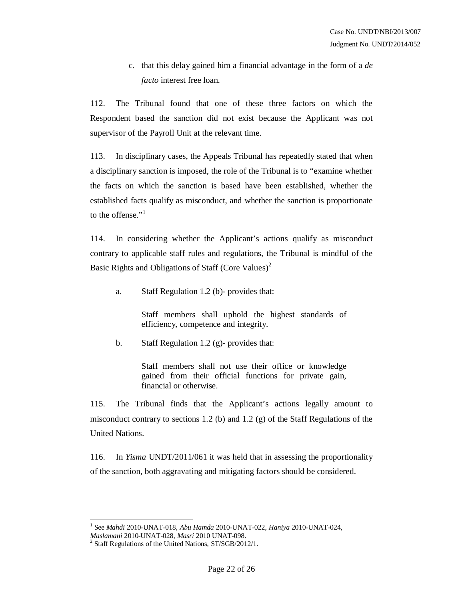c. that this delay gained him a financial advantage in the form of a *de facto* interest free loan.

112. The Tribunal found that one of these three factors on which the Respondent based the sanction did not exist because the Applicant was not supervisor of the Payroll Unit at the relevant time.

113. In disciplinary cases, the Appeals Tribunal has repeatedly stated that when a disciplinary sanction is imposed, the role of the Tribunal is to "examine whether the facts on which the sanction is based have been established, whether the established facts qualify as misconduct, and whether the sanction is proportionate to the offense."<sup>1</sup>

114. In considering whether the Applicant's actions qualify as misconduct contrary to applicable staff rules and regulations, the Tribunal is mindful of the Basic Rights and Obligations of Staff (Core Values)<sup>2</sup>

a. Staff Regulation 1.2 (b)- provides that:

Staff members shall uphold the highest standards of efficiency, competence and integrity.

b. Staff Regulation 1.2 (g)- provides that:

Staff members shall not use their office or knowledge gained from their official functions for private gain, financial or otherwise.

115. The Tribunal finds that the Applicant's actions legally amount to misconduct contrary to sections 1.2 (b) and 1.2 (g) of the Staff Regulations of the United Nations.

116. In *Yisma* UNDT/2011/061 it was held that in assessing the proportionality of the sanction, both aggravating and mitigating factors should be considered.

 1 See *Mahdi* 2010-UNAT-018, *Abu Hamda* 2010-UNAT-022, *Haniya* 2010-UNAT-024,

*Maslamani* 2010-UNAT-028, *Masri* 2010 UNAT-098.

<sup>&</sup>lt;sup>2</sup> Staff Regulations of the United Nations, ST/SGB/2012/1.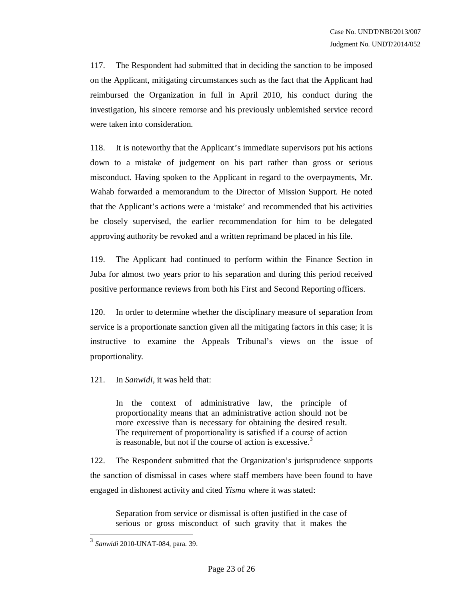117. The Respondent had submitted that in deciding the sanction to be imposed on the Applicant, mitigating circumstances such as the fact that the Applicant had reimbursed the Organization in full in April 2010, his conduct during the investigation, his sincere remorse and his previously unblemished service record were taken into consideration.

118. It is noteworthy that the Applicant's immediate supervisors put his actions down to a mistake of judgement on his part rather than gross or serious misconduct. Having spoken to the Applicant in regard to the overpayments, Mr. Wahab forwarded a memorandum to the Director of Mission Support. He noted that the Applicant's actions were a 'mistake' and recommended that his activities be closely supervised, the earlier recommendation for him to be delegated approving authority be revoked and a written reprimand be placed in his file.

119. The Applicant had continued to perform within the Finance Section in Juba for almost two years prior to his separation and during this period received positive performance reviews from both his First and Second Reporting officers.

120. In order to determine whether the disciplinary measure of separation from service is a proportionate sanction given all the mitigating factors in this case; it is instructive to examine the Appeals Tribunal's views on the issue of proportionality.

121. In *Sanwidi,* it was held that:

In the context of administrative law, the principle of proportionality means that an administrative action should not be more excessive than is necessary for obtaining the desired result. The requirement of proportionality is satisfied if a course of action is reasonable, but not if the course of action is excessive.<sup>3</sup>

122. The Respondent submitted that the Organization's jurisprudence supports the sanction of dismissal in cases where staff members have been found to have engaged in dishonest activity and cited *Yisma* where it was stated:

Separation from service or dismissal is often justified in the case of serious or gross misconduct of such gravity that it makes the

 3 *Sanwidi* 2010-UNAT-084, para. 39.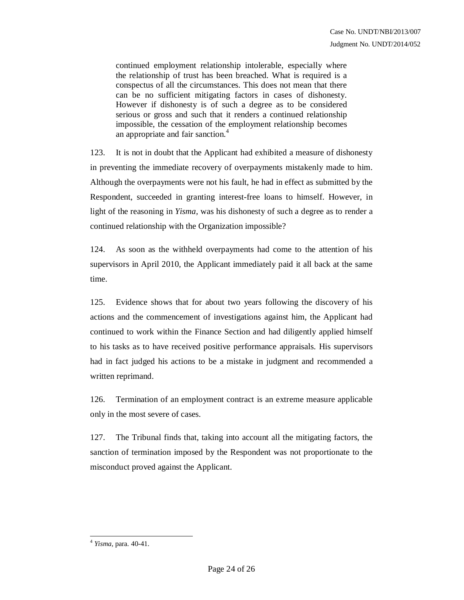continued employment relationship intolerable, especially where the relationship of trust has been breached. What is required is a conspectus of all the circumstances. This does not mean that there can be no sufficient mitigating factors in cases of dishonesty. However if dishonesty is of such a degree as to be considered serious or gross and such that it renders a continued relationship impossible, the cessation of the employment relationship becomes an appropriate and fair sanction.<sup>4</sup>

123. It is not in doubt that the Applicant had exhibited a measure of dishonesty in preventing the immediate recovery of overpayments mistakenly made to him. Although the overpayments were not his fault, he had in effect as submitted by the Respondent, succeeded in granting interest-free loans to himself. However, in light of the reasoning in *Yisma,* was his dishonesty of such a degree as to render a continued relationship with the Organization impossible?

124. As soon as the withheld overpayments had come to the attention of his supervisors in April 2010, the Applicant immediately paid it all back at the same time.

125. Evidence shows that for about two years following the discovery of his actions and the commencement of investigations against him, the Applicant had continued to work within the Finance Section and had diligently applied himself to his tasks as to have received positive performance appraisals. His supervisors had in fact judged his actions to be a mistake in judgment and recommended a written reprimand.

126. Termination of an employment contract is an extreme measure applicable only in the most severe of cases.

127. The Tribunal finds that, taking into account all the mitigating factors, the sanction of termination imposed by the Respondent was not proportionate to the misconduct proved against the Applicant.

 $\overline{a}$ 4 *Yisma,* para. 40-41.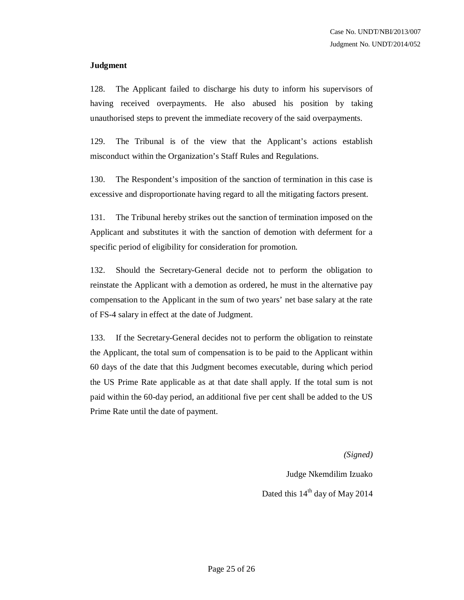#### **Judgment**

128. The Applicant failed to discharge his duty to inform his supervisors of having received overpayments. He also abused his position by taking unauthorised steps to prevent the immediate recovery of the said overpayments.

129. The Tribunal is of the view that the Applicant's actions establish misconduct within the Organization's Staff Rules and Regulations.

130. The Respondent's imposition of the sanction of termination in this case is excessive and disproportionate having regard to all the mitigating factors present.

131. The Tribunal hereby strikes out the sanction of termination imposed on the Applicant and substitutes it with the sanction of demotion with deferment for a specific period of eligibility for consideration for promotion.

132. Should the Secretary-General decide not to perform the obligation to reinstate the Applicant with a demotion as ordered, he must in the alternative pay compensation to the Applicant in the sum of two years' net base salary at the rate of FS-4 salary in effect at the date of Judgment.

133. If the Secretary-General decides not to perform the obligation to reinstate the Applicant, the total sum of compensation is to be paid to the Applicant within 60 days of the date that this Judgment becomes executable, during which period the US Prime Rate applicable as at that date shall apply. If the total sum is not paid within the 60-day period, an additional five per cent shall be added to the US Prime Rate until the date of payment.

*(Signed)*

Judge Nkemdilim Izuako Dated this 14<sup>th</sup> day of May 2014